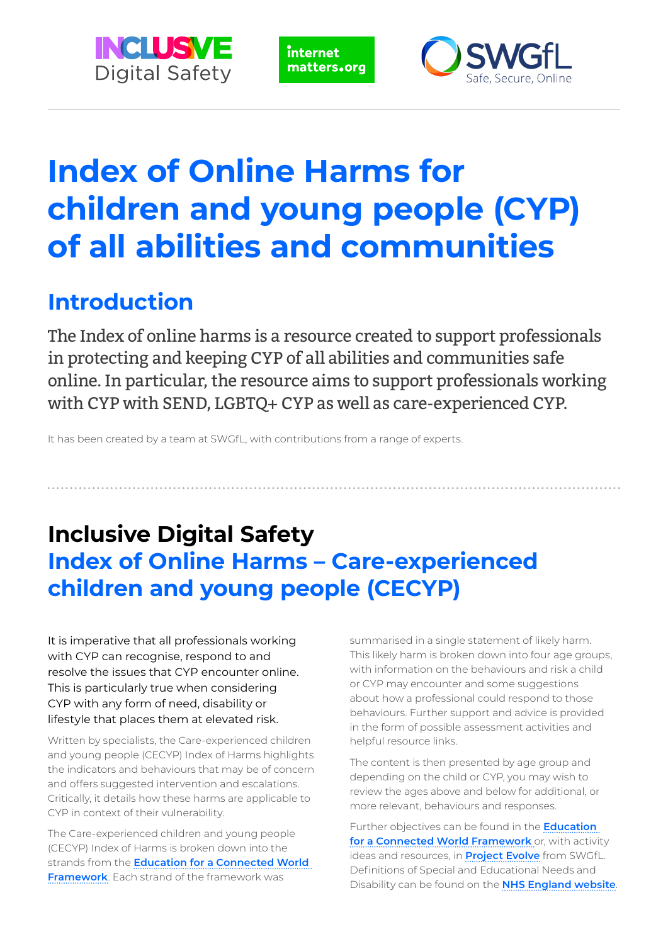

internet matters.org



# **Index of Online Harms for children and young people (CYP) of all abilities and communities**

# **Introduction**

The Index of online harms is a resource created to support professionals in protecting and keeping CYP of all abilities and communities safe online. In particular, the resource aims to support professionals working with CYP with SEND, LGBTQ+ CYP as well as care-experienced CYP.

It has been created by a team at SWGfL, with contributions from a range of experts.

# **Inclusive Digital Safety Index of Online Harms – Care-experienced children and young people (CECYP)**

It is imperative that all professionals working with CYP can recognise, respond to and resolve the issues that CYP encounter online. This is particularly true when considering CYP with any form of need, disability or lifestyle that places them at elevated risk.

Written by specialists, the Care-experienced children and young people (CECYP) Index of Harms highlights the indicators and behaviours that may be of concern and offers suggested intervention and escalations. Critically, it details how these harms are applicable to CYP in context of their vulnerability.

The Care-experienced children and young people (CECYP) Index of Harms is broken down into the strands from the **[Education for a Connected World](https://assets.publishing.service.gov.uk/government/uploads/system/uploads/attachment_data/file/759003/Education_for_a_connected_world_PDF.PDF)  [Framework](https://assets.publishing.service.gov.uk/government/uploads/system/uploads/attachment_data/file/759003/Education_for_a_connected_world_PDF.PDF)**. Each strand of the framework was

summarised in a single statement of likely harm. This likely harm is broken down into four age groups, with information on the behaviours and risk a child or CYP may encounter and some suggestions about how a professional could respond to those behaviours. Further support and advice is provided in the form of possible assessment activities and helpful resource links.

The content is then presented by age group and depending on the child or CYP, you may wish to review the ages above and below for additional, or more relevant, behaviours and responses.

Further objectives can be found in the **[Education](https://assets.publishing.service.gov.uk/government/uploads/system/uploads/attachment_data/file/759003/Education_for_a_connected_world_PDF.PDF)  [for a Connected World Framework](https://assets.publishing.service.gov.uk/government/uploads/system/uploads/attachment_data/file/759003/Education_for_a_connected_world_PDF.PDF)** or, with activity ideas and resources, in **[Project Evolve](http://projectevolve.co.uk/)** from SWGfL. Definitions of Special and Educational Needs and Disability can be found on the **[NHS England website](https://www.england.nhs.uk/learning-disabilities/care/children-young-people/send/)**.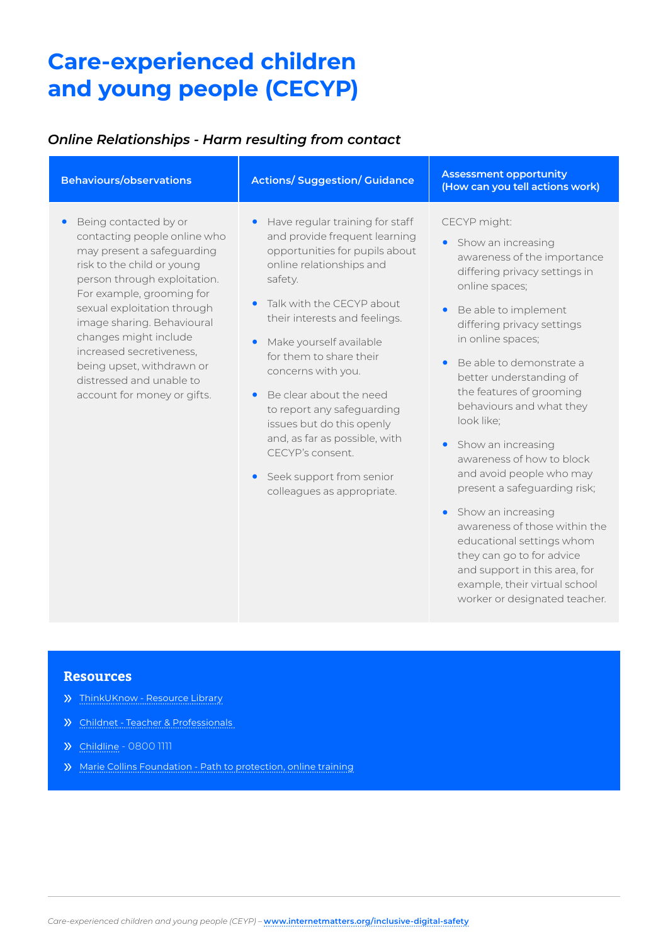### *Online Relationships - Harm resulting from contact*

| <b>Behaviours/observations</b>                                                                                                                                                                                                                                                                                                                                                                        | <b>Actions/Suggestion/Guidance</b>                                                                                                                                                                                                                                                                                                                                                                                                                                                   | <b>Assessment opportunity</b><br>(How can you tell actions work)                                                                                                                                                                                                                                                                                                                                            |
|-------------------------------------------------------------------------------------------------------------------------------------------------------------------------------------------------------------------------------------------------------------------------------------------------------------------------------------------------------------------------------------------------------|--------------------------------------------------------------------------------------------------------------------------------------------------------------------------------------------------------------------------------------------------------------------------------------------------------------------------------------------------------------------------------------------------------------------------------------------------------------------------------------|-------------------------------------------------------------------------------------------------------------------------------------------------------------------------------------------------------------------------------------------------------------------------------------------------------------------------------------------------------------------------------------------------------------|
| Being contacted by or<br>$\bullet$<br>contacting people online who<br>may present a safeguarding<br>risk to the child or young<br>person through exploitation.<br>For example, grooming for<br>sexual exploitation through<br>image sharing. Behavioural<br>changes might include<br>increased secretiveness,<br>being upset, withdrawn or<br>distressed and unable to<br>account for money or gifts. | Have regular training for staff<br>$\bullet$<br>and provide frequent learning<br>opportunities for pupils about<br>online relationships and<br>safety.<br>Talk with the CECYP about<br>$\bullet$<br>their interests and feelings.<br>Make yourself available<br>for them to share their<br>concerns with you.<br>Be clear about the need<br>to report any safeguarding<br>issues but do this openly<br>and, as far as possible, with<br>CECYP's consent.<br>Seek support from senior | CECYP might:<br>Show an increasing<br>awareness of the importance<br>differing privacy settings in<br>online spaces;<br>Be able to implement<br>differing privacy settings<br>in online spaces;<br>Be able to demonstrate a<br>better understanding of<br>the features of grooming<br>behaviours and what they<br>look like;<br>Show an increasing<br>awareness of how to block<br>and avoid people who may |

colleagues as appropriate.

**•** Show an increasing awareness of those within the educational settings whom they can go to for advice and support in this area, for example, their virtual school worker or designated teacher.

present a safeguarding risk;

- » [ThinkUKnow Resource Library](https://www.thinkuknow.co.uk/professionals/)
- » [Childnet Teacher & Professionals](https://www.childnet.com/teachers-and-professionals)
- » [Childline](http://childline.org.uk/) 0800 1111
- » [Marie Collins Foundation Path to protection, online training](https://www.mariecollinsfoundation.org.uk/cpp)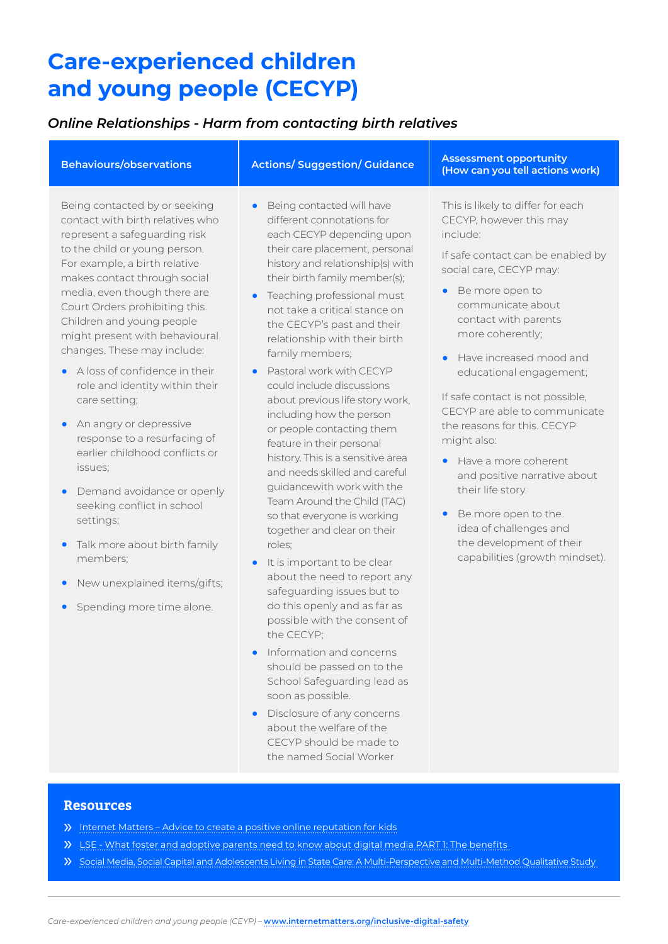### *Online Relationships - Harm from contacting birth relatives*

| <b>Behaviours/observations</b>                                                                                                                                                                                                                                                                                                                                       | <b>Actions/Suggestion/Guidance</b>                                                                                                                                                                                                                                                                                                                        | <b>Assessment opportunity</b><br>(How can you tell actions work)                                                                                                                                                                                                                  |
|----------------------------------------------------------------------------------------------------------------------------------------------------------------------------------------------------------------------------------------------------------------------------------------------------------------------------------------------------------------------|-----------------------------------------------------------------------------------------------------------------------------------------------------------------------------------------------------------------------------------------------------------------------------------------------------------------------------------------------------------|-----------------------------------------------------------------------------------------------------------------------------------------------------------------------------------------------------------------------------------------------------------------------------------|
| Being contacted by or seeking<br>contact with birth relatives who<br>represent a safeguarding risk<br>to the child or young person.<br>For example, a birth relative<br>makes contact through social<br>media, even though there are<br>Court Orders prohibiting this.<br>Children and young people<br>might present with behavioural<br>changes. These may include: | Being contacted will have<br>$\bullet$<br>different connotations for<br>each CECYP depending upon<br>their care placement, personal<br>history and relationship(s) with<br>their birth family member(s);<br>Teaching professional must<br>not take a critical stance on<br>the CECYP's past and their<br>relationship with their birth<br>family members; | This is likely to differ for each<br>CECYP, however this may<br>include:<br>If safe contact can be enabled by<br>social care, CECYP may:<br>Be more open to<br>$\bullet$<br>communicate about<br>contact with parents<br>more coherently;<br>Have increased mood and<br>$\bullet$ |
| A loss of confidence in their<br>$\bullet$<br>role and identity within their<br>care setting;<br>An angry or depressive<br>response to a resurfacing of<br>earlier childhood conflicts or                                                                                                                                                                            | Pastoral work with CECYP<br>$\bullet$<br>could include discussions<br>about previous life story work,<br>including how the person<br>or people contacting them<br>feature in their personal<br>history This is a sonsitive area                                                                                                                           | educational engagement;<br>If safe contact is not possible,<br>CECYP are able to communicate<br>the reasons for this. CECYP<br>might also:                                                                                                                                        |

**•** Demand avoidance or openly seeking conflict in school settings;

issues;

- **•** Talk more about birth family members;
- **•** New unexplained items/gifts;
- **•** Spending more time alone.
- history. This is a sensitive area and needs skilled and careful guidancewith work with the Team Around the Child (TAC) so that everyone is working together and clear on their roles;
- **•** It is important to be clear about the need to report any safeguarding issues but to do this openly and as far as possible with the consent of the CECYP;
- **•** Information and concerns should be passed on to the School Safeguarding lead as soon as possible.
- **•** Disclosure of any concerns about the welfare of the CECYP should be made to the named Social Worker
- **•** Have a more coherent and positive narrative about their life story.
- **•** Be more open to the idea of challenges and the development of their capabilities (growth mindset).

- » [Internet Matters Advice to create a positive online reputation for kids](https://www.internetmatters.org/issues/online-reputation/protect-your-child/)
- » [LSE What foster and adoptive parents need to know about digital media PART 1: The benefits](https://blogs.lse.ac.uk/parenting4digitalfuture/2015/04/16/what-foster-and-adoptive-parents-need-to-know-about-digital-media-part-1-the-benefits/)
- » [Social Media, Social Capital and Adolescents Living in State Care: A Multi-Perspective and Multi-Method Qualitative Study](https://academic.oup.com/bjsw/article/48/7/2058/4803282)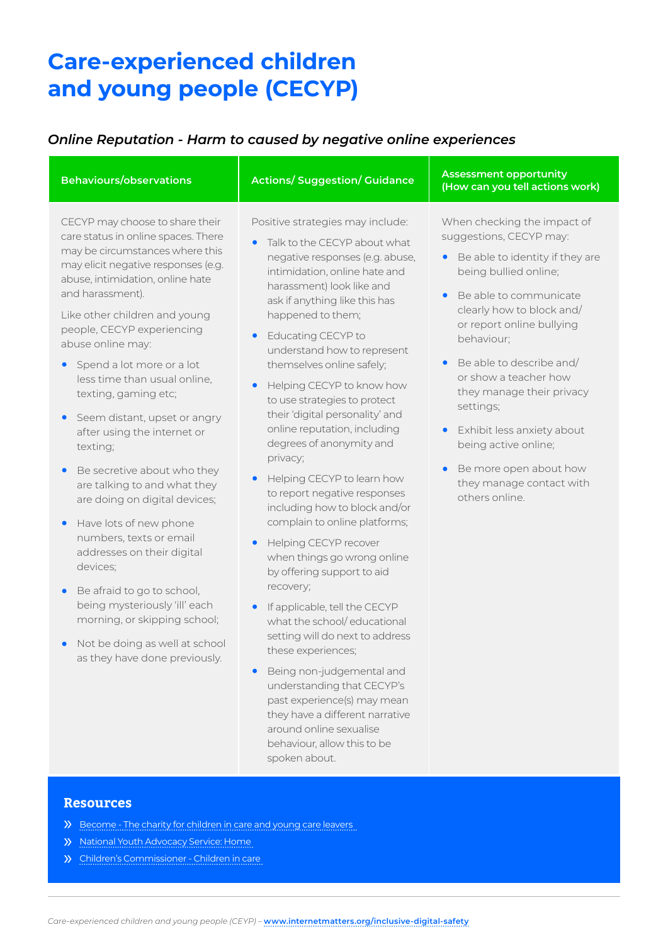### *Online Reputation - Harm to caused by negative online experiences*

| CECYP may choose to share their<br>Positive strategies may include:<br>When checking the impact of                                                                                                                                                                                                                                                                                                                                                                                                                                                                                                                                                                                                                                                                                                                                                                                                                                                                                                                                                                                                                                                                                                                                                                                                                                                                                                                                                                                                                                                                                                                                                                                                                                                                                                                                                                                                                                                                                                                                                                                                                                                                                                                                                    | <b>Behaviours/observations</b>      | <b>Actions/Suggestion/Guidance</b> | <b>Assessment opportunity</b><br>(How can you tell actions work) |
|-------------------------------------------------------------------------------------------------------------------------------------------------------------------------------------------------------------------------------------------------------------------------------------------------------------------------------------------------------------------------------------------------------------------------------------------------------------------------------------------------------------------------------------------------------------------------------------------------------------------------------------------------------------------------------------------------------------------------------------------------------------------------------------------------------------------------------------------------------------------------------------------------------------------------------------------------------------------------------------------------------------------------------------------------------------------------------------------------------------------------------------------------------------------------------------------------------------------------------------------------------------------------------------------------------------------------------------------------------------------------------------------------------------------------------------------------------------------------------------------------------------------------------------------------------------------------------------------------------------------------------------------------------------------------------------------------------------------------------------------------------------------------------------------------------------------------------------------------------------------------------------------------------------------------------------------------------------------------------------------------------------------------------------------------------------------------------------------------------------------------------------------------------------------------------------------------------------------------------------------------------|-------------------------------------|------------------------------------|------------------------------------------------------------------|
| Talk to the CECYP about what<br>$\bullet$<br>may be circumstances where this<br>negative responses (e.g. abuse,<br>may elicit negative responses (e.g.<br>intimidation, online hate and<br>being bullied online;<br>abuse, intimidation, online hate<br>harassment) look like and<br>and harassment).<br>Be able to communicate<br>$\bullet$<br>ask if anything like this has<br>clearly how to block and/<br>Like other children and young<br>happened to them;<br>or report online bullying<br>people, CECYP experiencing<br>Educating CECYP to<br>$\bullet$<br>behaviour;<br>abuse online may:<br>understand how to represent<br>Be able to describe and/<br>themselves online safely;<br>$\bullet$<br>Spend a lot more or a lot<br>$\bullet$<br>or show a teacher how<br>less time than usual online,<br>Helping CECYP to know how<br>they manage their privacy<br>texting, gaming etc;<br>to use strategies to protect<br>settings;<br>their 'digital personality' and<br>Seem distant, upset or angry<br>$\bullet$<br>online reputation, including<br>Exhibit less anxiety about<br>after using the internet or<br>$\bullet$<br>degrees of anonymity and<br>being active online;<br>texting;<br>privacy;<br>Be more open about how<br>Be secretive about who they<br>Helping CECYP to learn how<br>$\bullet$<br>they manage contact with<br>are talking to and what they<br>to report negative responses<br>others online.<br>are doing on digital devices;<br>including how to block and/or<br>complain to online platforms;<br>Have lots of new phone<br>numbers, texts or email<br>Helping CECYP recover<br>addresses on their digital<br>when things go wrong online<br>devices;<br>by offering support to aid<br>recovery;<br>Be afraid to go to school,<br>being mysteriously 'ill' each<br>If applicable, tell the CECYP<br>$\bullet$<br>morning, or skipping school;<br>what the school/educational<br>setting will do next to address<br>Not be doing as well at school<br>these experiences;<br>as they have done previously.<br>Being non-judgemental and<br>understanding that CECYP's<br>past experience(s) may mean<br>they have a different narrative<br>around online sexualise<br>behaviour, allow this to be<br>spoken about. | care status in online spaces. There |                                    | suggestions, CECYP may:<br>Be able to identity if they are       |

- » [Become The charity for children in care and young care leavers](https://www.becomecharity.org.uk/)
- » [National Youth Advocacy Service: Home](https://www.nyas.net/)
- » [Children's Commissioner Children in care](https://www.childrenscommissioner.gov.uk/children-in-care/)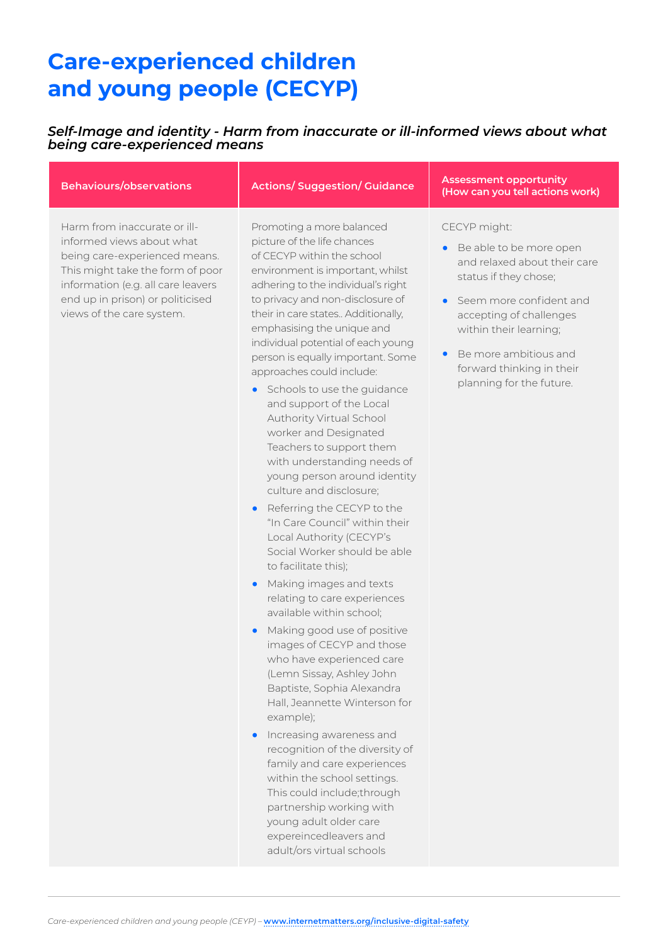### *Self-Image and identity - Harm from inaccurate or ill-informed views about what being care-experienced means*

Harm from inaccurate or illinformed views about what being care-experienced means. This might take the form of poor information (e.g. all care leavers end up in prison) or politicised views of the care system.

Promoting a more balanced picture of the life chances of CECYP within the school environment is important, whilst adhering to the individual's right to privacy and non-disclosure of their in care states.. Additionally, emphasising the unique and individual potential of each young person is equally important. Some approaches could include:

- **•** Schools to use the guidance and support of the Local Authority Virtual School worker and Designated Teachers to support them with understanding needs of young person around identity culture and disclosure;
- **•** Referring the CECYP to the "In Care Council" within their Local Authority (CECYP's Social Worker should be able to facilitate this);
- **•** Making images and texts relating to care experiences available within school;
- **•** Making good use of positive images of CECYP and those who have experienced care (Lemn Sissay, Ashley John Baptiste, Sophia Alexandra Hall, Jeannette Winterson for example);
- **•** Increasing awareness and recognition of the diversity of family and care experiences within the school settings. This could include;through partnership working with young adult older care expereincedleavers and adult/ors virtual schools

**Behaviours/observations Actions/ Suggestion/ Guidance Assessment opportunity (How can you tell actions work)**

#### CECYP might:

- **•** Be able to be more open and relaxed about their care status if they chose;
- **•** Seem more confident and accepting of challenges within their learning;
- **•** Be more ambitious and forward thinking in their planning for the future.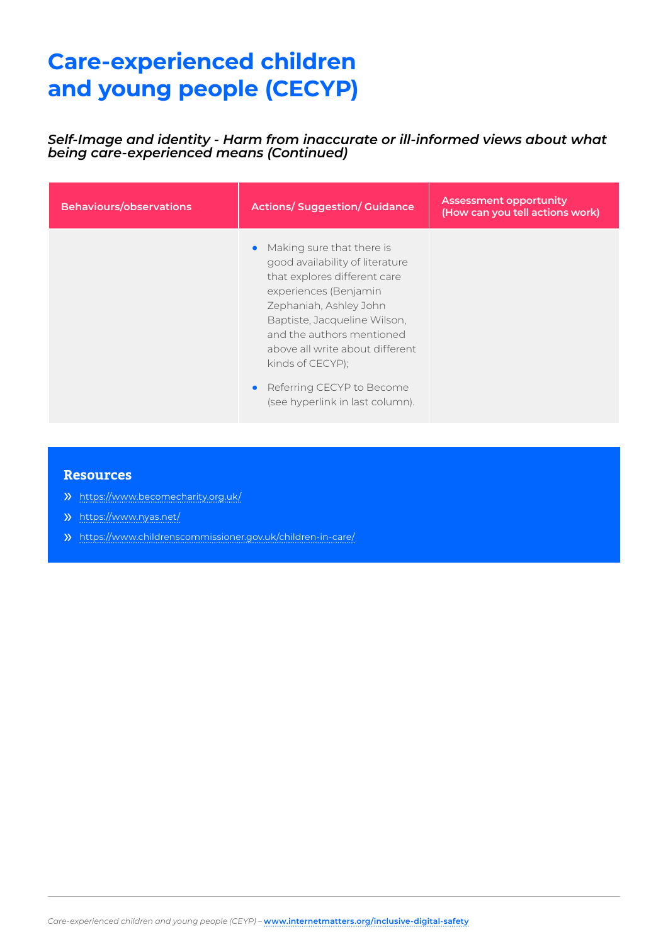*Self-Image and identity - Harm from inaccurate or ill-informed views about what being care-experienced means (Continued)*

| <b>Behaviours/observations</b> | <b>Actions/Suggestion/Guidance</b>                                                                                                                                                                                                                                                                                                  | <b>Assessment opportunity</b><br>(How can you tell actions work) |
|--------------------------------|-------------------------------------------------------------------------------------------------------------------------------------------------------------------------------------------------------------------------------------------------------------------------------------------------------------------------------------|------------------------------------------------------------------|
|                                | Making sure that there is<br>good availability of literature<br>that explores different care<br>experiences (Benjamin<br>Zephaniah, Ashley John<br>Baptiste, Jacqueline Wilson,<br>and the authors mentioned<br>above all write about different<br>kinds of CECYP);<br>Referring CECYP to Become<br>(see hyperlink in last column). |                                                                  |

- » <https://www.becomecharity.org.uk/>
- » <https://www.nyas.net/>
- » <https://www.childrenscommissioner.gov.uk/children-in-care/>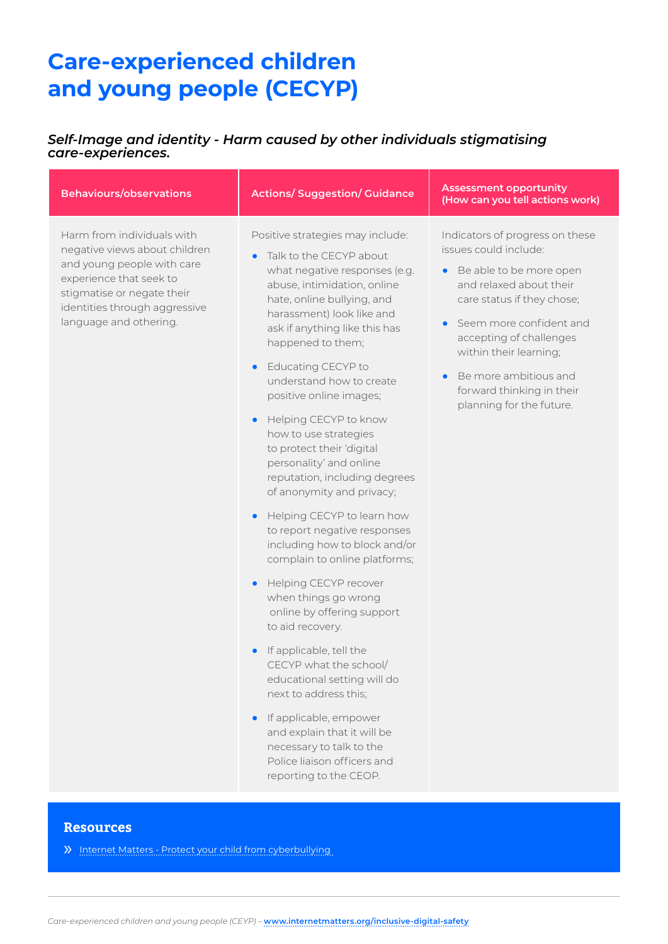### *Self-Image and identity - Harm caused by other individuals stigmatising care-experiences.*

| <b>Behaviours/observations</b>                                                                                                                                                                                | <b>Actions/Suggestion/Guidance</b>                                                                                                                                                                                                                                                                                                                                                                                                                                                                                                                                                                                                                                                                                                                                                                                                                                                                                                                                                                           | <b>Assessment opportunity</b><br>(How can you tell actions work)                                                                                                                                                                                                                                                                           |
|---------------------------------------------------------------------------------------------------------------------------------------------------------------------------------------------------------------|--------------------------------------------------------------------------------------------------------------------------------------------------------------------------------------------------------------------------------------------------------------------------------------------------------------------------------------------------------------------------------------------------------------------------------------------------------------------------------------------------------------------------------------------------------------------------------------------------------------------------------------------------------------------------------------------------------------------------------------------------------------------------------------------------------------------------------------------------------------------------------------------------------------------------------------------------------------------------------------------------------------|--------------------------------------------------------------------------------------------------------------------------------------------------------------------------------------------------------------------------------------------------------------------------------------------------------------------------------------------|
| Harm from individuals with<br>negative views about children<br>and young people with care<br>experience that seek to<br>stigmatise or negate their<br>identities through aggressive<br>language and othering. | Positive strategies may include:<br>Talk to the CECYP about<br>$\bullet$<br>what negative responses (e.g.<br>abuse, intimidation, online<br>hate, online bullying, and<br>harassment) look like and<br>ask if anything like this has<br>happened to them;<br>Educating CECYP to<br>understand how to create<br>positive online images;<br>Helping CECYP to know<br>how to use strategies<br>to protect their 'digital<br>personality' and online<br>reputation, including degrees<br>of anonymity and privacy;<br>Helping CECYP to learn how<br>to report negative responses<br>including how to block and/or<br>complain to online platforms;<br>Helping CECYP recover<br>when things go wrong<br>online by offering support<br>to aid recovery.<br>If applicable, tell the<br>CECYP what the school/<br>educational setting will do<br>next to address this;<br>If applicable, empower<br>and explain that it will be<br>necessary to talk to the<br>Police liaison officers and<br>reporting to the CEOP. | Indicators of progress on these<br>issues could include:<br>• Be able to be more open<br>and relaxed about their<br>care status if they chose;<br>Seem more confident and<br>$\bullet$<br>accepting of challenges<br>within their learning;<br>Be more ambitious and<br>$\bullet$<br>forward thinking in their<br>planning for the future. |
|                                                                                                                                                                                                               |                                                                                                                                                                                                                                                                                                                                                                                                                                                                                                                                                                                                                                                                                                                                                                                                                                                                                                                                                                                                              |                                                                                                                                                                                                                                                                                                                                            |

### **Resources**

» [Internet Matters - Protect your child from cyberbullying](https://www.internetmatters.org/issues/cyberbullying/protect-your-child/)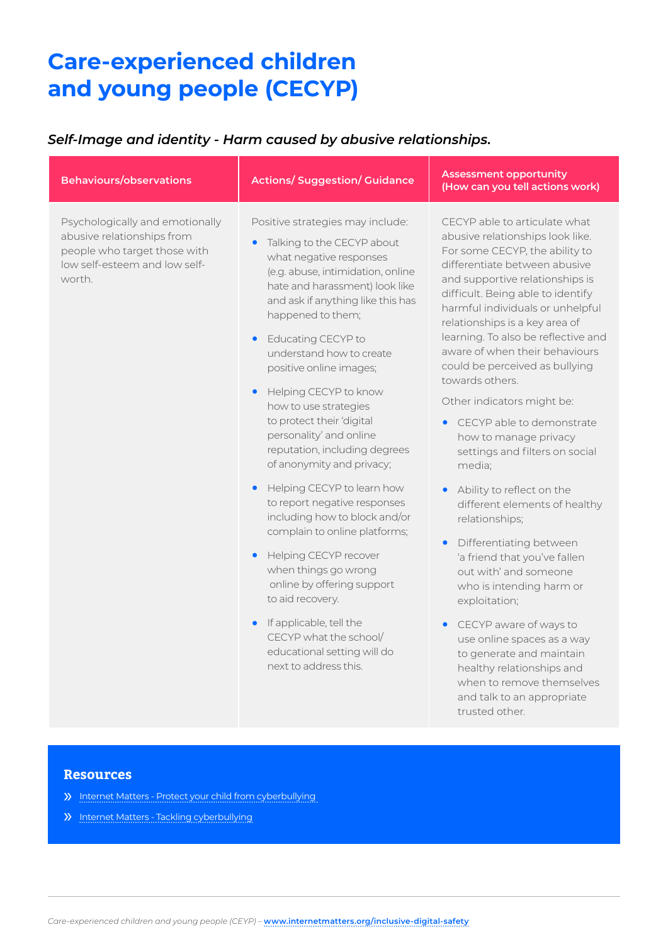## *Self-Image and identity - Harm caused by abusive relationships.*

| <b>Behaviours/observations</b>                                                                                                           | <b>Actions/Suggestion/Guidance</b>                                                                                                                                                                                                                                                                                                                                                                                                                                                                                                                                                                                                                                                             | <b>Assessment opportunity</b><br>(How can you tell actions work)                                                                                                                                                                                                                                                                                                                                                                                                                                                                                                                                                                                                                                                                                              |
|------------------------------------------------------------------------------------------------------------------------------------------|------------------------------------------------------------------------------------------------------------------------------------------------------------------------------------------------------------------------------------------------------------------------------------------------------------------------------------------------------------------------------------------------------------------------------------------------------------------------------------------------------------------------------------------------------------------------------------------------------------------------------------------------------------------------------------------------|---------------------------------------------------------------------------------------------------------------------------------------------------------------------------------------------------------------------------------------------------------------------------------------------------------------------------------------------------------------------------------------------------------------------------------------------------------------------------------------------------------------------------------------------------------------------------------------------------------------------------------------------------------------------------------------------------------------------------------------------------------------|
| Psychologically and emotionally<br>abusive relationships from<br>people who target those with<br>low self-esteem and low self-<br>worth. | Positive strategies may include:<br>Talking to the CECYP about<br>what negative responses<br>(e.g. abuse, intimidation, online<br>hate and harassment) look like<br>and ask if anything like this has<br>happened to them;<br>Educating CECYP to<br>understand how to create<br>positive online images;<br>Helping CECYP to know<br>how to use strategies<br>to protect their 'digital<br>personality' and online<br>reputation, including degrees<br>of anonymity and privacy;<br>Helping CECYP to learn how<br>to report negative responses<br>including how to block and/or<br>complain to online platforms;<br>Helping CECYP recover<br>when things go wrong<br>online by offering support | CECYP able to articulate what<br>abusive relationships look like.<br>For some CECYP, the ability to<br>differentiate between abusive<br>and supportive relationships is<br>difficult. Being able to identify<br>harmful individuals or unhelpful<br>relationships is a key area of<br>learning. To also be reflective and<br>aware of when their behaviours<br>could be perceived as bullying<br>towards others.<br>Other indicators might be:<br>CECYP able to demonstrate<br>how to manage privacy<br>settings and filters on social<br>media;<br>Ability to reflect on the<br>different elements of healthy<br>relationships;<br>Differentiating between<br>$\bullet$<br>'a friend that you've fallen<br>out with' and someone<br>who is intending harm or |
|                                                                                                                                          | to aid recovery.                                                                                                                                                                                                                                                                                                                                                                                                                                                                                                                                                                                                                                                                               | exploitation;                                                                                                                                                                                                                                                                                                                                                                                                                                                                                                                                                                                                                                                                                                                                                 |
|                                                                                                                                          | If applicable, tell the<br>CECYP what the school/<br>educational setting will do<br>next to address this.                                                                                                                                                                                                                                                                                                                                                                                                                                                                                                                                                                                      | CECYP aware of ways to<br>$\bullet$<br>use online spaces as a way<br>to generate and maintain<br>healthy relationships and<br>when to remove themselves<br>and talk to an appropriate<br>trusted other.                                                                                                                                                                                                                                                                                                                                                                                                                                                                                                                                                       |

- » [Internet Matters Protect your child from cyberbullying](https://www.internetmatters.org/issues/cyberbullying/protect-your-child/)
- » [Internet Matters Tackling cyberbullying](https://www.internetmatters.org/connecting-safely-online/advice-for-parents/tackling-the-hard-stuff-on-social-media-to-support-young-people/cyberbullying-advice-guide/)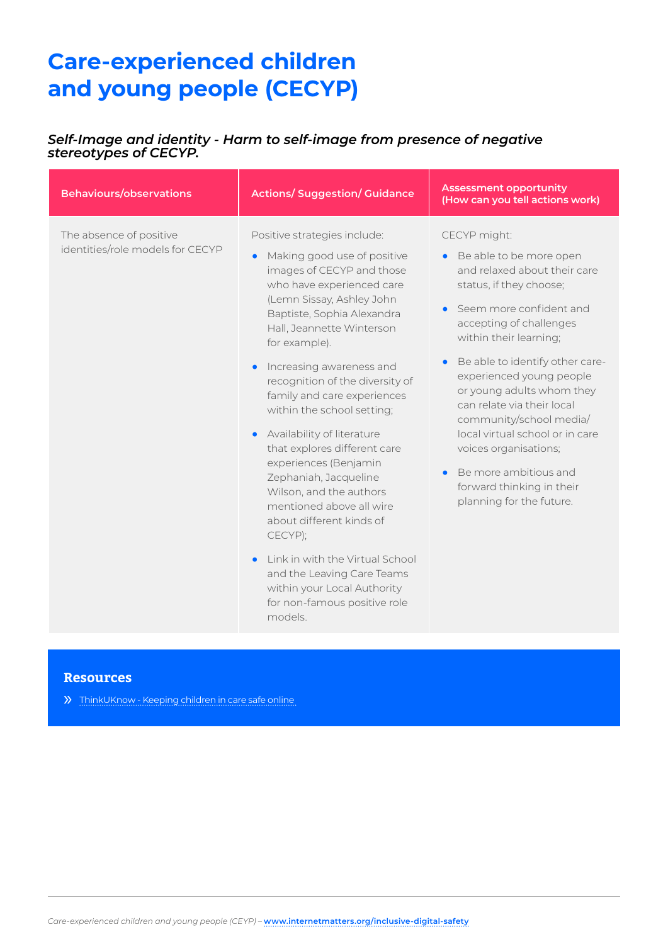### *Self-Image and identity - Harm to self-image from presence of negative stereotypes of CECYP.*

| <b>Behaviours/observations</b>                              | <b>Actions/Suggestion/Guidance</b>                                                                                                                                                                                                                                                                                                                                                                                                                                                                                                                                                                                                                                                                                  | <b>Assessment opportunity</b><br>(How can you tell actions work)                                                                                                                                                                                                                                                                                                                                                                                                                                                |
|-------------------------------------------------------------|---------------------------------------------------------------------------------------------------------------------------------------------------------------------------------------------------------------------------------------------------------------------------------------------------------------------------------------------------------------------------------------------------------------------------------------------------------------------------------------------------------------------------------------------------------------------------------------------------------------------------------------------------------------------------------------------------------------------|-----------------------------------------------------------------------------------------------------------------------------------------------------------------------------------------------------------------------------------------------------------------------------------------------------------------------------------------------------------------------------------------------------------------------------------------------------------------------------------------------------------------|
| The absence of positive<br>identities/role models for CECYP | Positive strategies include:<br>Making good use of positive<br>images of CECYP and those<br>who have experienced care<br>(Lemn Sissay, Ashley John<br>Baptiste, Sophia Alexandra<br>Hall, Jeannette Winterson<br>for example).<br>Increasing awareness and<br>recognition of the diversity of<br>family and care experiences<br>within the school setting;<br>Availability of literature<br>that explores different care<br>experiences (Benjamin<br>Zephaniah, Jacqueline<br>Wilson, and the authors<br>mentioned above all wire<br>about different kinds of<br>CECYP);<br>Link in with the Virtual School<br>and the Leaving Care Teams<br>within your Local Authority<br>for non-famous positive role<br>models. | CECYP might:<br>Be able to be more open<br>$\bullet$<br>and relaxed about their care<br>status, if they choose;<br>Seem more confident and<br>$\bullet$<br>accepting of challenges<br>within their learning;<br>Be able to identify other care-<br>experienced young people<br>or young adults whom they<br>can relate via their local<br>community/school media/<br>local virtual school or in care<br>voices organisations;<br>Be more ambitious and<br>forward thinking in their<br>planning for the future. |

### **Resources**

» [ThinkUKnow - Keeping children in care safe online](https://www.thinkuknow.co.uk/parents/articles/Looked-after-children-specific-risks/)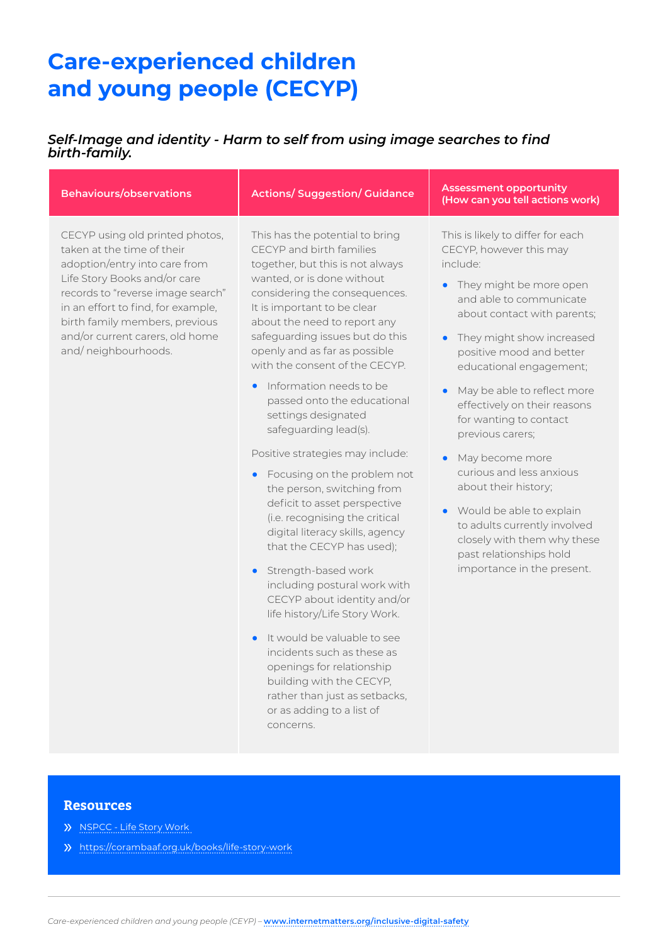### *Self-Image and identity - Harm to self from using image searches to find birth-family.*

| <b>Behaviours/observations</b>                                                                                                                                                                                                                                                                        | <b>Actions/ Suggestion/ Guidance</b>                                                                                                                                                                                                                                                                                                                                                                                                                                                                                                                                                                                                                                                                                                                                                                                                                                                                                                                                                                           | <b>Assessment opportunity</b><br>(How can you tell actions work)                                                                                                                                                                                                                                                                                                                                                                                                                                                                                                                                                                                           |
|-------------------------------------------------------------------------------------------------------------------------------------------------------------------------------------------------------------------------------------------------------------------------------------------------------|----------------------------------------------------------------------------------------------------------------------------------------------------------------------------------------------------------------------------------------------------------------------------------------------------------------------------------------------------------------------------------------------------------------------------------------------------------------------------------------------------------------------------------------------------------------------------------------------------------------------------------------------------------------------------------------------------------------------------------------------------------------------------------------------------------------------------------------------------------------------------------------------------------------------------------------------------------------------------------------------------------------|------------------------------------------------------------------------------------------------------------------------------------------------------------------------------------------------------------------------------------------------------------------------------------------------------------------------------------------------------------------------------------------------------------------------------------------------------------------------------------------------------------------------------------------------------------------------------------------------------------------------------------------------------------|
| CECYP using old printed photos,<br>taken at the time of their<br>adoption/entry into care from<br>Life Story Books and/or care<br>records to "reverse image search"<br>in an effort to find, for example,<br>birth family members, previous<br>and/or current carers, old home<br>and/neighbourhoods. | This has the potential to bring<br>CECYP and birth families<br>together, but this is not always<br>wanted, or is done without<br>considering the consequences.<br>It is important to be clear<br>about the need to report any<br>safeguarding issues but do this<br>openly and as far as possible<br>with the consent of the CECYP.<br>• Information needs to be<br>passed onto the educational<br>settings designated<br>safeguarding lead(s).<br>Positive strategies may include:<br>• Focusing on the problem not<br>the person, switching from<br>deficit to asset perspective<br>(i.e. recognising the critical<br>digital literacy skills, agency<br>that the CECYP has used);<br>• Strength-based work<br>including postural work with<br>CECYP about identity and/or<br>life history/Life Story Work.<br>It would be valuable to see<br>incidents such as these as<br>openings for relationship<br>building with the CECYP,<br>rather than just as setbacks,<br>or as adding to a list of<br>concerns. | This is likely to differ for each<br>CECYP, however this may<br>include:<br>They might be more open<br>$\bullet$<br>and able to communicate<br>about contact with parents;<br>They might show increased<br>$\bullet$<br>positive mood and better<br>educational engagement;<br>May be able to reflect more<br>$\bullet$<br>effectively on their reasons<br>for wanting to contact<br>previous carers;<br>May become more<br>$\bullet$<br>curious and less anxious<br>about their history;<br>Would be able to explain<br>$\bullet$<br>to adults currently involved<br>closely with them why these<br>past relationships hold<br>importance in the present. |

- » [NSPCC Life Story Work](https://learning.nspcc.org.uk/services-children-families/life-story-work)
- » <https://corambaaf.org.uk/books/life-story-work>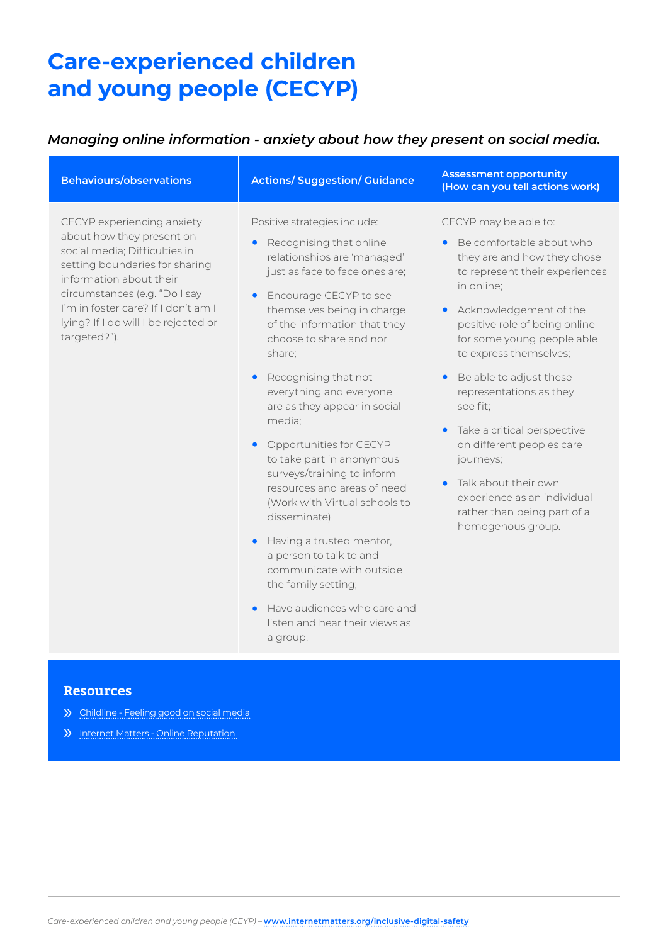## *Managing online information - anxiety about how they present on social media.*

| <b>Behaviours/observations</b>                                                                                                                                                                                                                                                        | <b>Actions/Suggestion/Guidance</b>                                                                                                                                                                                                                                                                                                                                                                                                                                                | <b>Assessment opportunity</b><br>(How can you tell actions work)                                                                                                                                                                                                   |
|---------------------------------------------------------------------------------------------------------------------------------------------------------------------------------------------------------------------------------------------------------------------------------------|-----------------------------------------------------------------------------------------------------------------------------------------------------------------------------------------------------------------------------------------------------------------------------------------------------------------------------------------------------------------------------------------------------------------------------------------------------------------------------------|--------------------------------------------------------------------------------------------------------------------------------------------------------------------------------------------------------------------------------------------------------------------|
| CECYP experiencing anxiety<br>about how they present on<br>social media; Difficulties in<br>setting boundaries for sharing<br>information about their<br>circumstances (e.g. "Do I say<br>I'm in foster care? If I don't am I<br>lying? If I do will I be rejected or<br>targeted?"). | Positive strategies include:<br>Recognising that online<br>$\bullet$<br>relationships are 'managed'<br>just as face to face ones are;<br>Encourage CECYP to see<br>$\bullet$<br>themselves being in charge<br>of the information that they<br>choose to share and nor<br>share;                                                                                                                                                                                                   | CECYP may be able to:<br>Be comfortable about who<br>$\bullet$<br>they are and how they chose<br>to represent their experiences<br>in online;<br>• Acknowledgement of the<br>positive role of being online<br>for some young people able<br>to express themselves; |
|                                                                                                                                                                                                                                                                                       | Recognising that not<br>$\bullet$<br>everything and everyone<br>are as they appear in social<br>media;<br>Opportunities for CECYP<br>$\bullet$<br>to take part in anonymous<br>surveys/training to inform<br>resources and areas of need<br>(Work with Virtual schools to<br>disseminate)<br>Having a trusted mentor,<br>$\bullet$<br>a person to talk to and<br>communicate with outside<br>the family setting;<br>Have audiences who care and<br>listen and hear their views as | Be able to adjust these<br>$\bullet$<br>representations as they<br>see fit;<br>• Take a critical perspective<br>on different peoples care<br>journeys;<br>Talk about their own<br>experience as an individual<br>rather than being part of a<br>homogenous group.  |

#### **Resources**

- » [Childline Feeling good on social media](https://www.childline.org.uk/info-advice/bullying-abuse-safety/online-mobile-safety/feeling-good-on-social-media/)
- » [Internet Matters Online Reputation](https://www.internetmatters.org/issues/online-reputation/)

a group.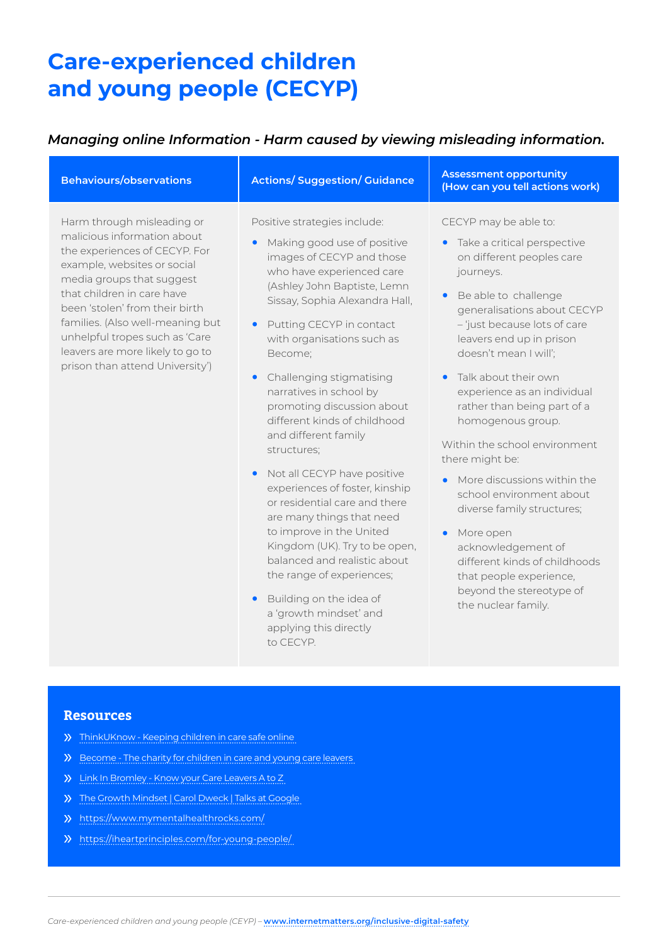### *Managing online Information - Harm caused by viewing misleading information.*

| <b>Behaviours/observations</b>                                                                                                                                                                                                                                                                                                                                      | <b>Actions/ Suggestion/ Guidance</b>                                                                                                                                                                                                                                                                                                                                                                                                                                                                                                                                                                                                                                                                                                                                                                                | <b>Assessment opportunity</b><br>(How can you tell actions work)                                                                                                                                                                                                                                                                                                                                                                                                                                                                                                                                                                                                               |
|---------------------------------------------------------------------------------------------------------------------------------------------------------------------------------------------------------------------------------------------------------------------------------------------------------------------------------------------------------------------|---------------------------------------------------------------------------------------------------------------------------------------------------------------------------------------------------------------------------------------------------------------------------------------------------------------------------------------------------------------------------------------------------------------------------------------------------------------------------------------------------------------------------------------------------------------------------------------------------------------------------------------------------------------------------------------------------------------------------------------------------------------------------------------------------------------------|--------------------------------------------------------------------------------------------------------------------------------------------------------------------------------------------------------------------------------------------------------------------------------------------------------------------------------------------------------------------------------------------------------------------------------------------------------------------------------------------------------------------------------------------------------------------------------------------------------------------------------------------------------------------------------|
| Harm through misleading or<br>malicious information about<br>the experiences of CECYP. For<br>example, websites or social<br>media groups that suggest<br>that children in care have<br>been 'stolen' from their birth<br>families. (Also well-meaning but<br>unhelpful tropes such as 'Care<br>leavers are more likely to go to<br>prison than attend University') | Positive strategies include:<br>Making good use of positive<br>images of CECYP and those<br>who have experienced care<br>(Ashley John Baptiste, Lemn<br>Sissay, Sophia Alexandra Hall,<br>Putting CECYP in contact<br>$\bullet$<br>with organisations such as<br>Become;<br>Challenging stigmatising<br>$\bullet$<br>narratives in school by<br>promoting discussion about<br>different kinds of childhood<br>and different family<br>structures;<br>Not all CECYP have positive<br>$\bullet$<br>experiences of foster, kinship<br>or residential care and there<br>are many things that need<br>to improve in the United<br>Kingdom (UK). Try to be open,<br>balanced and realistic about<br>the range of experiences;<br>Building on the idea of<br>$\bullet$<br>a 'growth mindset' and<br>applying this directly | CECYP may be able to:<br>Take a critical perspective<br>$\bullet$<br>on different peoples care<br>journeys.<br>Be able to challenge<br>$\bullet$<br>generalisations about CECYP<br>- 'just because lots of care<br>leavers end up in prison<br>doesn't mean I will';<br>Talk about their own<br>experience as an individual<br>rather than being part of a<br>homogenous group.<br>Within the school environment<br>there might be:<br>More discussions within the<br>school environment about<br>diverse family structures;<br>More open<br>acknowledgement of<br>different kinds of childhoods<br>that people experience,<br>beyond the stereotype of<br>the nuclear family. |

### **Resources**

- » [ThinkUKnow Keeping children in care safe online](https://www.thinkuknow.co.uk/parents/articles/Looked-after-children-specific-risks/)
- » [Become The charity for children in care and young care leavers](https://www.becomecharity.org.uk/)
- » [Link In Bromley Know your Care Leavers A to Z](http://linkinbromley.co.uk/wp-content/uploads/2013/08/Famous_Care_Leavers1.pdf)
- » [The Growth Mindset | Carol Dweck | Talks at Google](https://www.youtube.com/watch?v=-71zdXCMU6A)
- » <https://www.mymentalhealthrocks.com/>
- » <https://iheartprinciples.com/for-young-people/>

to CECYP.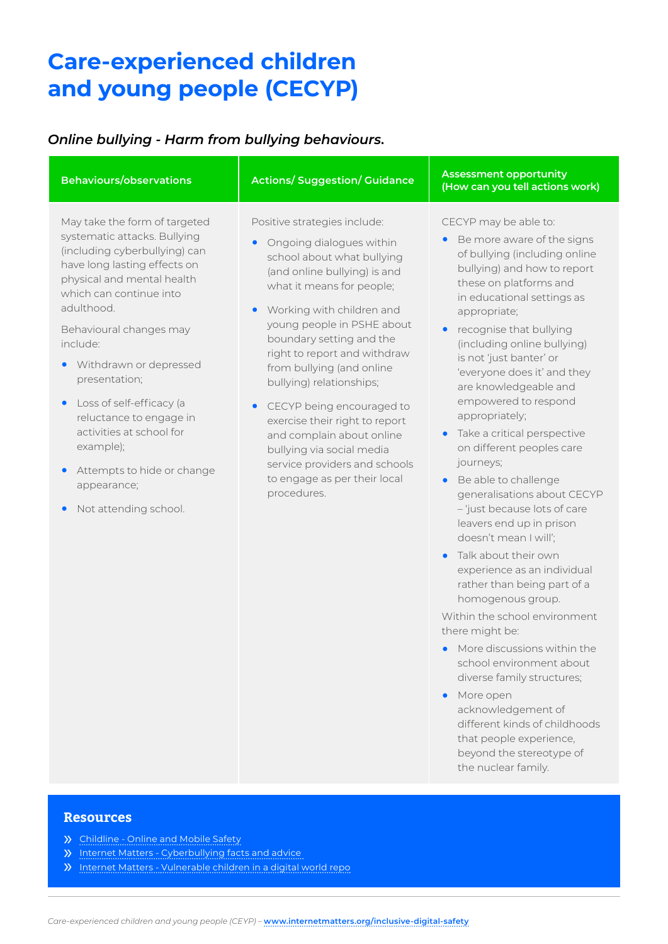## *Online bullying - Harm from bullying behaviours.*

| <b>Behaviours/observations</b>                                                                                                                                                                                                                                                                                                                                                                                                                                             | <b>Actions/Suggestion/Guidance</b>                                                                                                                                                                                                                                                                                                                                                                                                                                                                                                                                     | <b>Assessment opportunity</b><br>(How can you tell actions work)                                                                                                                                                                                                                                                                                                                                                                                                                                                                                                                                                                                                                                     |
|----------------------------------------------------------------------------------------------------------------------------------------------------------------------------------------------------------------------------------------------------------------------------------------------------------------------------------------------------------------------------------------------------------------------------------------------------------------------------|------------------------------------------------------------------------------------------------------------------------------------------------------------------------------------------------------------------------------------------------------------------------------------------------------------------------------------------------------------------------------------------------------------------------------------------------------------------------------------------------------------------------------------------------------------------------|------------------------------------------------------------------------------------------------------------------------------------------------------------------------------------------------------------------------------------------------------------------------------------------------------------------------------------------------------------------------------------------------------------------------------------------------------------------------------------------------------------------------------------------------------------------------------------------------------------------------------------------------------------------------------------------------------|
| May take the form of targeted<br>systematic attacks. Bullying<br>(including cyberbullying) can<br>have long lasting effects on<br>physical and mental health<br>which can continue into<br>adulthood.<br>Behavioural changes may<br>include:<br>Withdrawn or depressed<br>presentation;<br>Loss of self-efficacy (a<br>$\bullet$<br>reluctance to engage in<br>activities at school for<br>example);<br>Attempts to hide or change<br>appearance;<br>Not attending school. | Positive strategies include:<br>Ongoing dialogues within<br>school about what bullying<br>(and online bullying) is and<br>what it means for people;<br>Working with children and<br>$\bullet$<br>young people in PSHE about<br>boundary setting and the<br>right to report and withdraw<br>from bullying (and online<br>bullying) relationships;<br>CECYP being encouraged to<br>$\bullet$<br>exercise their right to report<br>and complain about online<br>bullying via social media<br>service providers and schools<br>to engage as per their local<br>procedures. | CECYP may be able to:<br>Be more aware of the signs<br>$\bullet$<br>of bullying (including online<br>bullying) and how to report<br>these on platforms and<br>in educational settings as<br>appropriate;<br>recognise that bullying<br>(including online bullying)<br>is not 'just banter' or<br>'everyone does it' and they<br>are knowledgeable and<br>empowered to respond<br>appropriately;<br>Take a critical perspective<br>$\bullet$<br>on different peoples care<br>journeys;<br>Be able to challenge<br>$\bullet$<br>generalisations about CECYP<br>-'just because lots of care<br>leavers end up in prison<br>doesn't mean I will';<br>Talk about their own<br>leubivibai as an individual |

experience as an individual rather than being part of a homogenous group.

Within the school environment there might be:

- **•** More discussions within the school environment about diverse family structures;
- **•** More open acknowledgement of different kinds of childhoods that people experience, beyond the stereotype of the nuclear family.

- » [Childline Online and Mobile Safety](https://www.childline.org.uk/info-advice/bullying-abuse-safety/online-mobile-safety/)
- » [Internet Matters Cyberbullying facts and advice](https://www.childline.org.uk/info-advice/bullying-abuse-safety/online-mobile-safety/)
- » [Internet Matters Vulnerable children in a digital world repo](https://www.childline.org.uk/info-advice/bullying-abuse-safety/online-mobile-safety/)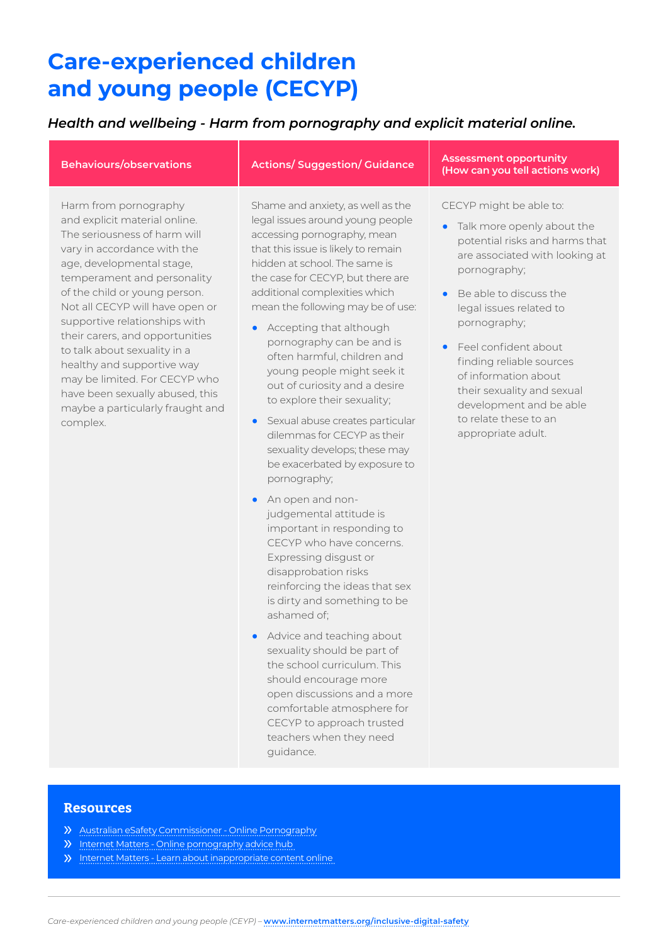### *Health and wellbeing - Harm from pornography and explicit material online.*

Harm from pornography and explicit material online. The seriousness of harm will vary in accordance with the age, developmental stage, temperament and personality of the child or young person. Not all CECYP will have open or supportive relationships with their carers, and opportunities to talk about sexuality in a healthy and supportive way may be limited. For CECYP who have been sexually abused, this maybe a particularly fraught and complex.

Shame and anxiety, as well as the legal issues around young people accessing pornography, mean that this issue is likely to remain hidden at school. The same is the case for CECYP, but there are additional complexities which mean the following may be of use:

- **•** Accepting that although pornography can be and is often harmful, children and young people might seek it out of curiosity and a desire to explore their sexuality;
- **•** Sexual abuse creates particular dilemmas for CECYP as their sexuality develops; these may be exacerbated by exposure to pornography;
- **•** An open and nonjudgemental attitude is important in responding to CECYP who have concerns. Expressing disgust or disapprobation risks reinforcing the ideas that sex is dirty and something to be ashamed of;
- **•** Advice and teaching about sexuality should be part of the school curriculum. This should encourage more open discussions and a more comfortable atmosphere for CECYP to approach trusted teachers when they need guidance.

#### **Behaviours/observations Actions/ Suggestion/ Guidance Assessment opportunity (How can you tell actions work)**

CECYP might be able to:

- **•** Talk more openly about the potential risks and harms that are associated with looking at pornography;
- **•** Be able to discuss the legal issues related to pornography;
- **•** Feel confident about finding reliable sources of information about their sexuality and sexual development and be able to relate these to an appropriate adult.

- » [Australian eSafety Commissioner Online Pornography](https://www.esafety.gov.au/parents/big-issues/online-pornography#what-can-i-do-if-my-child-has-found-pornography-online)
- » [Internet Matters Online pornography advice hub](https://www.esafety.gov.au/parents/big-issues/online-pornography#what-can-i-do-if-my-child-has-found-pornography-online)
- » [Internet Matters Learn about inappropriate content online](https://www.esafety.gov.au/parents/big-issues/online-pornography#what-can-i-do-if-my-child-has-found-pornography-online)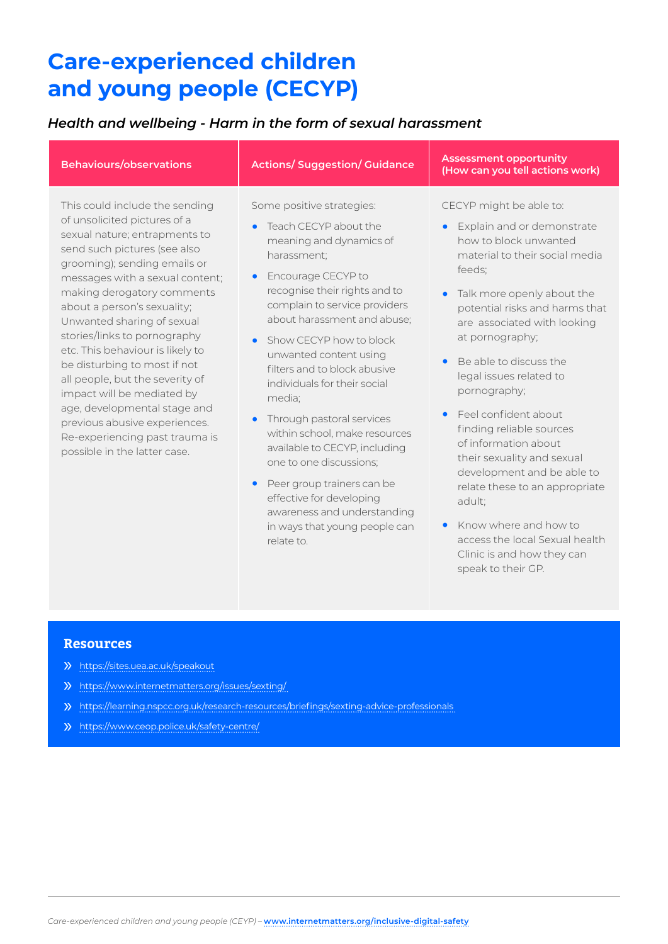### *Health and wellbeing - Harm in the form of sexual harassment*

| <b>Behaviours/observations</b>                                                                                                                                                                                                                                                                                                                                                                                                                                                                                                                                                                        | <b>Actions/Suggestion/Guidance</b>                                                                                                                                                                                                                                                                                                                                                                                                                                                                                                                             | <b>Assessment opportunity</b><br>(How can you tell actions work)                                                                                                                                                                                                                                                                                                                                                                                          |
|-------------------------------------------------------------------------------------------------------------------------------------------------------------------------------------------------------------------------------------------------------------------------------------------------------------------------------------------------------------------------------------------------------------------------------------------------------------------------------------------------------------------------------------------------------------------------------------------------------|----------------------------------------------------------------------------------------------------------------------------------------------------------------------------------------------------------------------------------------------------------------------------------------------------------------------------------------------------------------------------------------------------------------------------------------------------------------------------------------------------------------------------------------------------------------|-----------------------------------------------------------------------------------------------------------------------------------------------------------------------------------------------------------------------------------------------------------------------------------------------------------------------------------------------------------------------------------------------------------------------------------------------------------|
| This could include the sending<br>of unsolicited pictures of a<br>sexual nature; entrapments to<br>send such pictures (see also<br>grooming); sending emails or<br>messages with a sexual content;<br>making derogatory comments<br>about a person's sexuality;<br>Unwanted sharing of sexual<br>stories/links to pornography<br>etc. This behaviour is likely to<br>be disturbing to most if not<br>all people, but the severity of<br>impact will be mediated by<br>age, developmental stage and<br>previous abusive experiences.<br>Re-experiencing past trauma is<br>possible in the latter case. | Some positive strategies:<br>Teach CECYP about the<br>$\bullet$<br>meaning and dynamics of<br>harassment;<br>Encourage CECYP to<br>$\bullet$<br>recognise their rights and to<br>complain to service providers<br>about harassment and abuse;<br>Show CECYP how to block<br>$\bullet$<br>unwanted content using<br>filters and to block abusive<br>individuals for their social<br>media;<br>Through pastoral services<br>$\bullet$<br>within school, make resources<br>available to CECYP, including<br>one to one discussions;<br>Deer aroun trainers can he | CECYP might be able to:<br>Explain and or demonstrate<br>how to block unwanted<br>material to their social media<br>feeds;<br>Talk more openly about the<br>potential risks and harms that<br>are associated with looking<br>at pornography;<br>Be able to discuss the<br>legal issues related to<br>pornography;<br>Feel confident about<br>finding reliable sources<br>of information about<br>their sexuality and sexual<br>development and be able to |

- **•** Peer group trainers can be effective for developing awareness and understanding in ways that young people can relate to.
- relate these to an appropriate adult;
- **•** Know where and how to access the local Sexual health Clinic is and how they can speak to their GP.

- » <https://sites.uea.ac.uk/speakout>
- » <https://www.internetmatters.org/issues/sexting/>
- » <https://learning.nspcc.org.uk/research-resources/briefings/sexting-advice-professionals>
- » <https://www.ceop.police.uk/safety-centre/>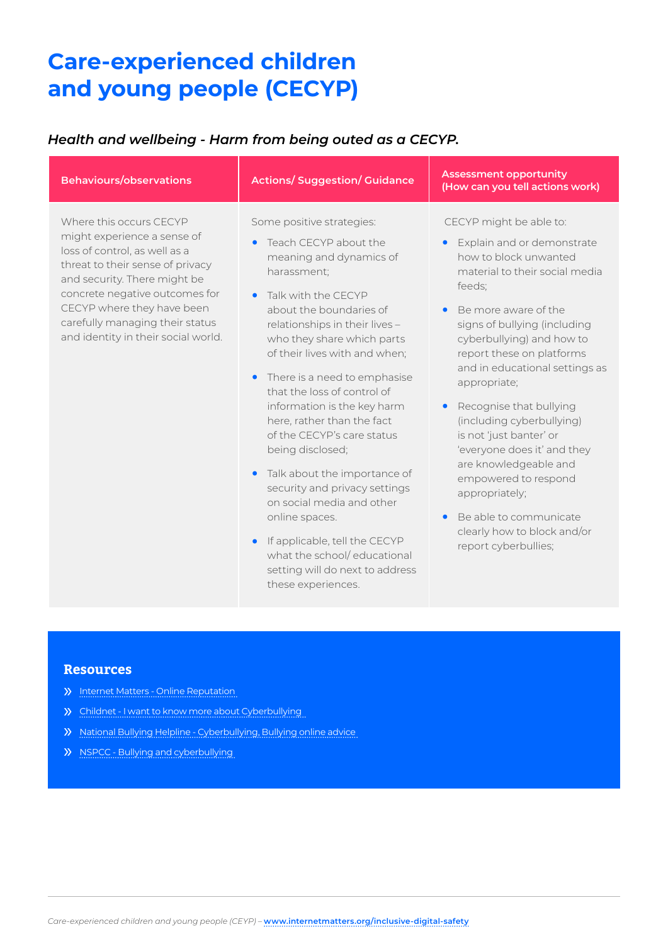### *Health and wellbeing - Harm from being outed as a CECYP.*

| <b>Behaviours/observations</b>                                                                                                                                                                                                                                                                        | <b>Actions/Suggestion/Guidance</b>                                                                                                                                                                                                                                                                                                                                                                                                                                                                                                                                                                                                                                                                            | <b>Assessment opportunity</b><br>(How can you tell actions work)                                                                                                                                                                                                                                                                                                                                                                                                                                                                                                                                            |
|-------------------------------------------------------------------------------------------------------------------------------------------------------------------------------------------------------------------------------------------------------------------------------------------------------|---------------------------------------------------------------------------------------------------------------------------------------------------------------------------------------------------------------------------------------------------------------------------------------------------------------------------------------------------------------------------------------------------------------------------------------------------------------------------------------------------------------------------------------------------------------------------------------------------------------------------------------------------------------------------------------------------------------|-------------------------------------------------------------------------------------------------------------------------------------------------------------------------------------------------------------------------------------------------------------------------------------------------------------------------------------------------------------------------------------------------------------------------------------------------------------------------------------------------------------------------------------------------------------------------------------------------------------|
| Where this occurs CECYP<br>might experience a sense of<br>loss of control, as well as a<br>threat to their sense of privacy<br>and security. There might be<br>concrete negative outcomes for<br>CECYP where they have been<br>carefully managing their status<br>and identity in their social world. | Some positive strategies:<br>Teach CECYP about the<br>$\bullet$<br>meaning and dynamics of<br>harassment:<br>Talk with the CECYP<br>$\bullet$<br>about the boundaries of<br>relationships in their lives -<br>who they share which parts<br>of their lives with and when;<br>There is a need to emphasise<br>that the loss of control of<br>information is the key harm<br>here, rather than the fact<br>of the CECYP's care status<br>being disclosed;<br>Talk about the importance of<br>$\bullet$<br>security and privacy settings<br>on social media and other<br>online spaces.<br>If applicable, tell the CECYP<br>what the school/educational<br>setting will do next to address<br>these experiences. | CECYP might be able to:<br>Explain and or demonstrate<br>how to block unwanted<br>material to their social media<br>feeds;<br>Be more aware of the<br>$\bullet$<br>signs of bullying (including<br>cyberbullying) and how to<br>report these on platforms<br>and in educational settings as<br>appropriate;<br>Recognise that bullying<br>$\bullet$<br>(including cyberbullying)<br>is not 'just banter' or<br>'everyone does it' and they<br>are knowledgeable and<br>empowered to respond<br>appropriately;<br>Be able to communicate<br>$\bullet$<br>clearly how to block and/or<br>report cyberbullies; |

- » [Internet Matters Online Reputation](https://www.internetmatters.org/issues/online-reputation/)
- » [Childnet I want to know more about Cyberbullying](https://www.childnet.com/teachers-and-professionals/hot-topics/cyberbullying)
- » [National Bullying Helpline Cyberbullying, Bullying online advice](https://www.nationalbullyinghelpline.co.uk/cyberbullying.html)
- » [NSPCC Bullying and cyberbullying](https://www.nspcc.org.uk/what-is-child-abuse/types-of-abuse/bullying-and-cyberbullying/)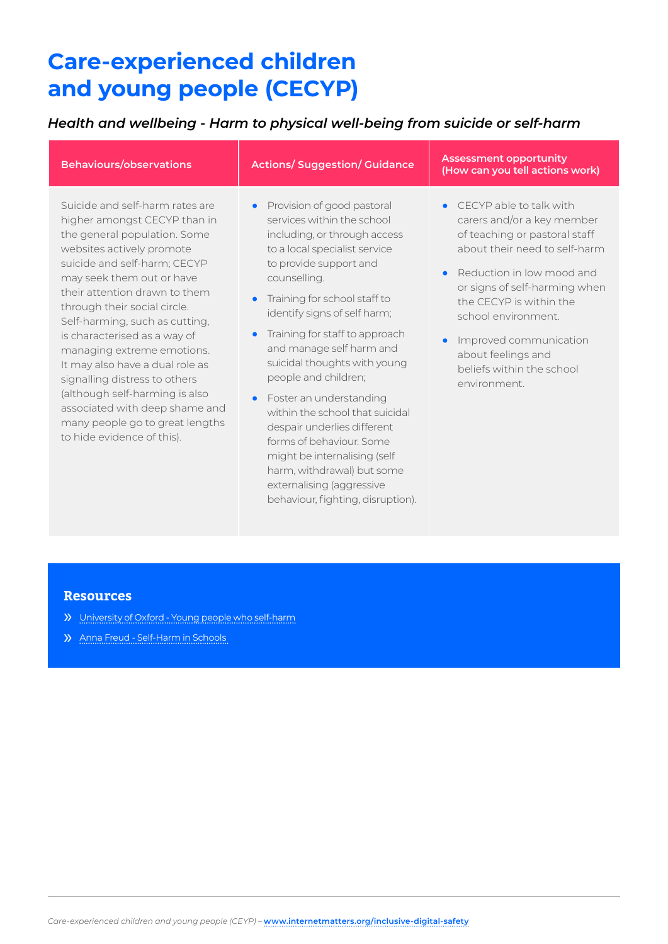## *Health and wellbeing - Harm to physical well-being from suicide or self-harm*

| <b>Behaviours/observations</b>                                                                                                                                                                                                                                                                                                                                                                                                                                                                                                                                      | <b>Actions/Suggestion/Guidance</b>                                                                                                                                                                                                                                                                                                                                                                                                                                                                                                                                                                   | <b>Assessment opportunity</b><br>(How can you tell actions work)                                                                                                                                                                                                                                                                                  |
|---------------------------------------------------------------------------------------------------------------------------------------------------------------------------------------------------------------------------------------------------------------------------------------------------------------------------------------------------------------------------------------------------------------------------------------------------------------------------------------------------------------------------------------------------------------------|------------------------------------------------------------------------------------------------------------------------------------------------------------------------------------------------------------------------------------------------------------------------------------------------------------------------------------------------------------------------------------------------------------------------------------------------------------------------------------------------------------------------------------------------------------------------------------------------------|---------------------------------------------------------------------------------------------------------------------------------------------------------------------------------------------------------------------------------------------------------------------------------------------------------------------------------------------------|
| Suicide and self-harm rates are<br>higher amongst CECYP than in<br>the general population. Some<br>websites actively promote<br>suicide and self-harm; CECYP<br>may seek them out or have<br>their attention drawn to them<br>through their social circle.<br>Self-harming, such as cutting,<br>is characterised as a way of<br>managing extreme emotions.<br>It may also have a dual role as<br>signalling distress to others<br>(although self-harming is also<br>associated with deep shame and<br>many people go to great lengths<br>to hide evidence of this). | Provision of good pastoral<br>$\bullet$<br>services within the school<br>including, or through access<br>to a local specialist service<br>to provide support and<br>counselling.<br>Training for school staff to<br>$\bullet$<br>identify signs of self harm;<br>Training for staff to approach<br>$\bullet$<br>and manage self harm and<br>suicidal thoughts with young<br>people and children;<br>Foster an understanding<br>$\bullet$<br>within the school that suicidal<br>despair underlies different<br>forms of behaviour. Some<br>might be internalising (self<br>harm, withdrawal) but some | CECYP able to talk with<br>carers and/or a key member<br>of teaching or pastoral staff<br>about their need to self-harm<br>Reduction in low mood and<br>$\bullet$<br>or signs of self-harming when<br>the CECYP is within the<br>school environment.<br>Improved communication<br>about feelings and<br>beliefs within the school<br>environment. |

externalising (aggressive behaviour, fighting, disruption).

- » [University of Oxford Young people who self-harm](https://www.rcpsych.ac.uk/docs/default-source/improving-care/nccmh/suicide-prevention/wave-1-resources/young-people-who-self-harm-a-guide-for-school-staff.pdf?sfvrsn=e6ebf7ca_2)
- » [Anna Freud Self-Harm in Schools](https://www.rcpsych.ac.uk/docs/default-source/improving-care/nccmh/suicide-prevention/wave-1-resources/young-people-who-self-harm-a-guide-for-school-staff.pdf?sfvrsn=e6ebf7ca_2)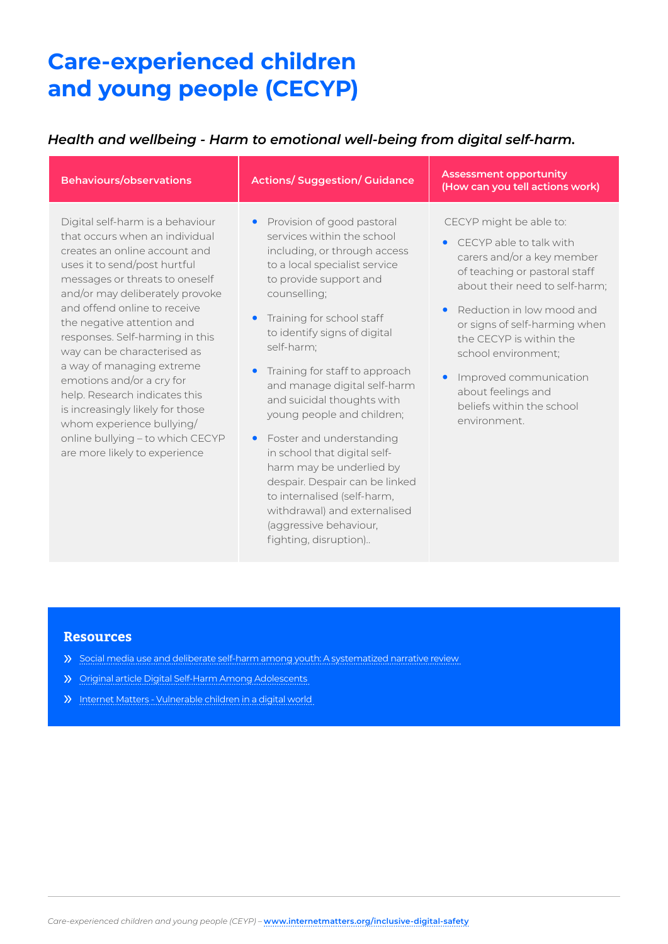### *Health and wellbeing - Harm to emotional well-being from digital self-harm.*

| <b>Behaviours/observations</b>                                                                                                                                                                                                                                                                                                                                                                                                                                                                                                                                            | <b>Actions/Suggestion/Guidance</b>                                                                                                                                                                                                                                                                                                                                                                                                                                                                                               | <b>Assessment opportunity</b><br>(How can you tell actions work)                                                                                                                                                                                                                                                                                                   |
|---------------------------------------------------------------------------------------------------------------------------------------------------------------------------------------------------------------------------------------------------------------------------------------------------------------------------------------------------------------------------------------------------------------------------------------------------------------------------------------------------------------------------------------------------------------------------|----------------------------------------------------------------------------------------------------------------------------------------------------------------------------------------------------------------------------------------------------------------------------------------------------------------------------------------------------------------------------------------------------------------------------------------------------------------------------------------------------------------------------------|--------------------------------------------------------------------------------------------------------------------------------------------------------------------------------------------------------------------------------------------------------------------------------------------------------------------------------------------------------------------|
| Digital self-harm is a behaviour<br>that occurs when an individual<br>creates an online account and<br>uses it to send/post hurtful<br>messages or threats to oneself<br>and/or may deliberately provoke<br>and offend online to receive<br>the negative attention and<br>responses. Self-harming in this<br>way can be characterised as<br>a way of managing extreme<br>emotions and/or a cry for<br>help. Research indicates this<br>is increasingly likely for those<br>whom experience bullying/<br>online bullying - to which CECYP<br>are more likely to experience | Provision of good pastoral<br>$\bullet$<br>services within the school<br>including, or through access<br>to a local specialist service<br>to provide support and<br>counselling;<br>Training for school staff<br>to identify signs of digital<br>self-harm;<br>Training for staff to approach<br>and manage digital self-harm<br>and suicidal thoughts with<br>young people and children;<br>Foster and understanding<br>$\bullet$<br>in school that digital self-<br>harm may be underlied by<br>despair. Despair can be linked | CECYP might be able to:<br>• CECYP able to talk with<br>carers and/or a key member<br>of teaching or pastoral staff<br>about their need to self-harm;<br>Reduction in low mood and<br>or signs of self-harming when<br>the CECYP is within the<br>school environment;<br>Improved communication<br>about feelings and<br>beliefs within the school<br>environment. |

to internalised (self-harm, withdrawal) and externalised (aggressive behaviour, fighting, disruption)..

- » [Social media use and deliberate self-harm among youth: A systematized narrative review](https://www.sciencedirect.com/science/article/pii/S0190740919308667)
- » [Original article Digital Self-Harm Among Adolescents](https://www.sciencedirect.com/science/article/pii/S0190740919308667)
- » [Internet Matters Vulnerable children in a digital world](https://www.sciencedirect.com/science/article/pii/S0190740919308667)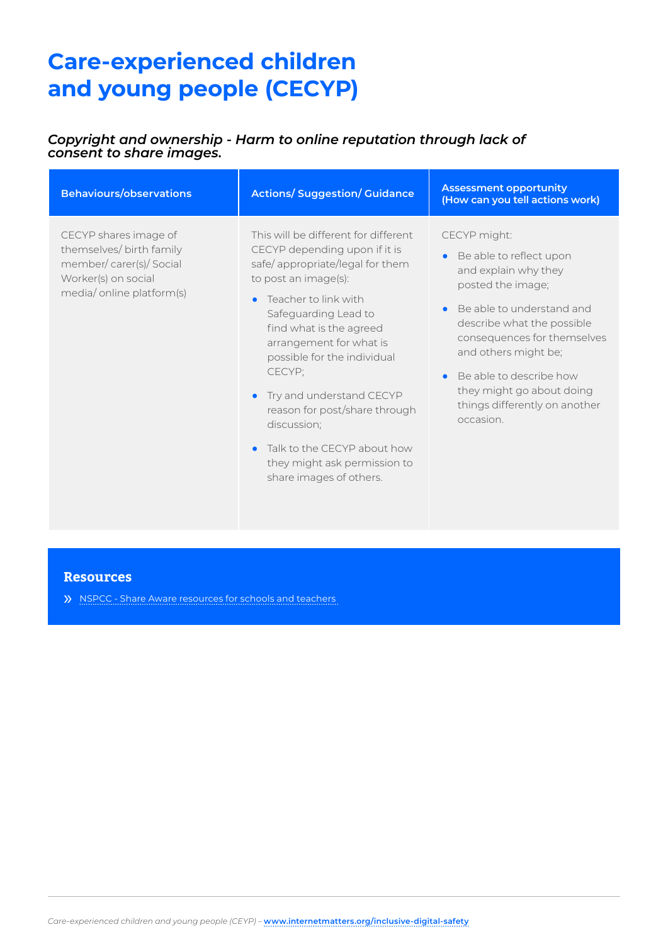### *Copyright and ownership - Harm to online reputation through lack of consent to share images.*

| <b>Behaviours/observations</b>                                                                                                 | <b>Actions/Suggestion/Guidance</b>                                                                                                                                                                                                                                                                                                                                                                                                                    | <b>Assessment opportunity</b><br>(How can you tell actions work)                                                                                                                                                                                                                                                          |
|--------------------------------------------------------------------------------------------------------------------------------|-------------------------------------------------------------------------------------------------------------------------------------------------------------------------------------------------------------------------------------------------------------------------------------------------------------------------------------------------------------------------------------------------------------------------------------------------------|---------------------------------------------------------------------------------------------------------------------------------------------------------------------------------------------------------------------------------------------------------------------------------------------------------------------------|
| CECYP shares image of<br>themselves/ birth family<br>member/carer(s)/Social<br>Worker(s) on social<br>media/online platform(s) | This will be different for different<br>CECYP depending upon if it is<br>safe/appropriate/legal for them<br>to post an image(s):<br>Teacher to link with<br>Safeguarding Lead to<br>find what is the agreed<br>arrangement for what is<br>possible for the individual<br>CECYP:<br>Try and understand CECYP<br>reason for post/share through<br>discussion;<br>Talk to the CECYP about how<br>they might ask permission to<br>share images of others. | CECYP might:<br>Be able to reflect upon<br>and explain why they<br>posted the image;<br>Be able to understand and<br>describe what the possible<br>consequences for themselves<br>and others might be;<br>Be able to describe how<br>$\bullet$<br>they might go about doing<br>things differently on another<br>occasion. |

#### **Resources**

» [NSPCC - Share Aware resources for schools and teachers](http://NSPCC - Share Aware resources for schools and teachers )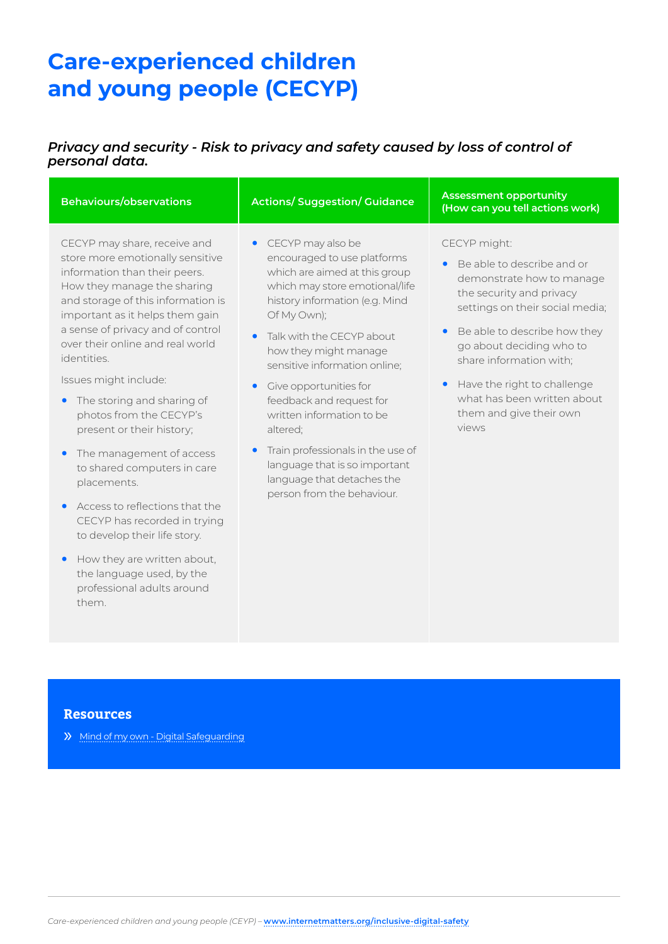### *Privacy and security - Risk to privacy and safety caused by loss of control of personal data.*

| <b>Behaviours/observations</b>                                                                                                                                                                            | <b>Actions/Suggestion/Guidance</b>                                                                                                                                     | <b>Assessment opportunity</b><br>(How can you tell actions work)                                                                       |
|-----------------------------------------------------------------------------------------------------------------------------------------------------------------------------------------------------------|------------------------------------------------------------------------------------------------------------------------------------------------------------------------|----------------------------------------------------------------------------------------------------------------------------------------|
| CECYP may share, receive and<br>store more emotionally sensitive<br>information than their peers.<br>How they manage the sharing<br>and storage of this information is<br>important as it helps them gain | • CECYP may also be<br>encouraged to use platforms<br>which are aimed at this group<br>which may store emotional/life<br>history information (e.g. Mind<br>Of My Own); | CECYP might:<br>Be able to describe and or<br>demonstrate how to manage<br>the security and privacy<br>settings on their social media; |
| a sense of privacy and of control<br>over their online and real world<br>identities.                                                                                                                      | Talk with the CECYP about<br>how they might manage<br>sensitive information online;                                                                                    | Be able to describe how they<br>go about deciding who to<br>share information with;                                                    |
| Issues might include:<br>The storing and sharing of<br>$\bullet$<br>photos from the CECYP's<br>present or their history;                                                                                  | Give opportunities for<br>feedback and request for<br>written information to be<br>altered;                                                                            | Have the right to challenge<br>what has been written about<br>them and give their own<br>views                                         |
| The management of access<br>$\bullet$<br>to shared computers in care<br>placements.                                                                                                                       | Train professionals in the use of<br>language that is so important<br>language that detaches the<br>person from the behaviour.                                         |                                                                                                                                        |
| Access to reflections that the<br>$\bullet$<br>CECYP has recorded in trying<br>to develop their life story.                                                                                               |                                                                                                                                                                        |                                                                                                                                        |
| How they are written about,<br>$\bullet$<br>the language used, by the<br>professional adults around                                                                                                       |                                                                                                                                                                        |                                                                                                                                        |

### **Resources**

them.

» [Mind of my own - Digital Safeguarding](https://mindofmyown.org.uk/home/digital-safeguarding/)